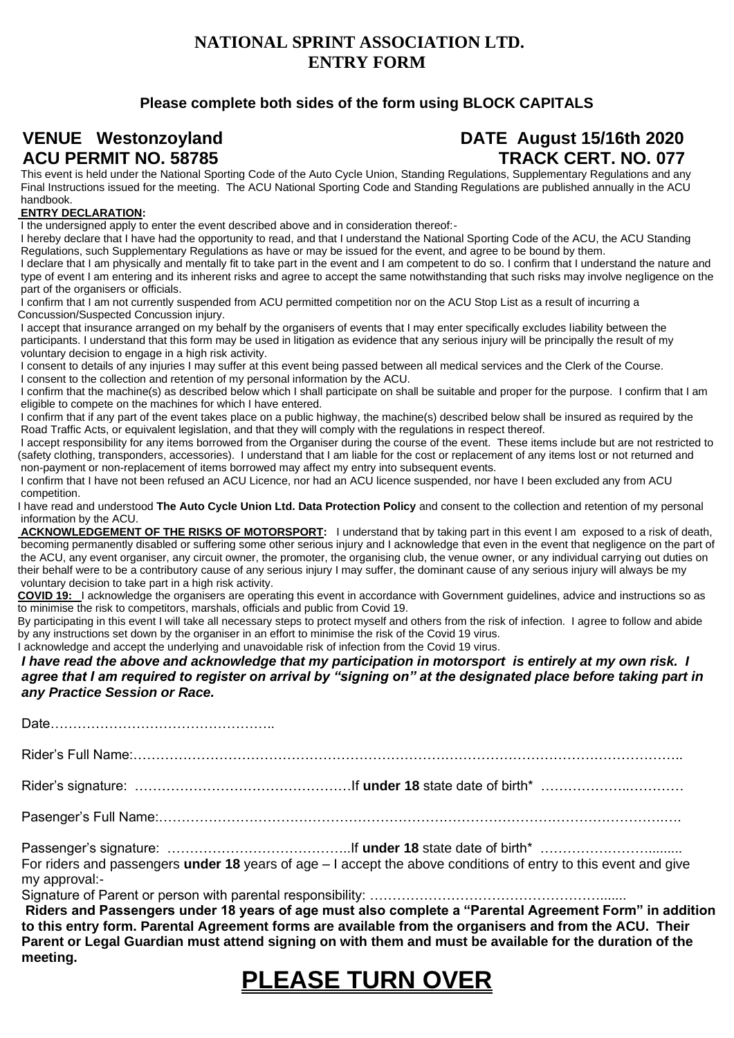#### **NATIONAL SPRINT ASSOCIATION LTD. ENTRY FORM**

#### **Please complete both sides of the form using BLOCK CAPITALS**

### **VENUE Westonzoyland DATE August 15/16th 2020** ACU PERMIT NO. 58785 **TRACK CERT. NO. 077**

This event is held under the National Sporting Code of the Auto Cycle Union, Standing Regulations, Supplementary Regulations and any Final Instructions issued for the meeting. The ACU National Sporting Code and Standing Regulations are published annually in the ACU handbook.

#### **ENTRY DECLARATION:**

I the undersigned apply to enter the event described above and in consideration thereof:-

I hereby declare that I have had the opportunity to read, and that I understand the National Sporting Code of the ACU, the ACU Standing Regulations, such Supplementary Regulations as have or may be issued for the event, and agree to be bound by them.

I declare that I am physically and mentally fit to take part in the event and I am competent to do so. I confirm that I understand the nature and type of event I am entering and its inherent risks and agree to accept the same notwithstanding that such risks may involve negligence on the part of the organisers or officials.

I confirm that I am not currently suspended from ACU permitted competition nor on the ACU Stop List as a result of incurring a Concussion/Suspected Concussion injury.

I accept that insurance arranged on my behalf by the organisers of events that I may enter specifically excludes liability between the participants. I understand that this form may be used in litigation as evidence that any serious injury will be principally the result of my voluntary decision to engage in a high risk activity.

I consent to details of any injuries I may suffer at this event being passed between all medical services and the Clerk of the Course. I consent to the collection and retention of my personal information by the ACU.

I confirm that the machine(s) as described below which I shall participate on shall be suitable and proper for the purpose. I confirm that I am eligible to compete on the machines for which I have entered.

I confirm that if any part of the event takes place on a public highway, the machine(s) described below shall be insured as required by the Road Traffic Acts, or equivalent legislation, and that they will comply with the regulations in respect thereof.

I accept responsibility for any items borrowed from the Organiser during the course of the event. These items include but are not restricted to (safety clothing, transponders, accessories). I understand that I am liable for the cost or replacement of any items lost or not returned and non-payment or non-replacement of items borrowed may affect my entry into subsequent events.

I confirm that I have not been refused an ACU Licence, nor had an ACU licence suspended, nor have I been excluded any from ACU competition.

I have read and understood **The Auto Cycle Union Ltd. Data Protection Policy** and consent to the collection and retention of my personal information by the ACU.

**ACKNOWLEDGEMENT OF THE RISKS OF MOTORSPORT:** I understand that by taking part in this event I am exposed to a risk of death, becoming permanently disabled or suffering some other serious injury and I acknowledge that even in the event that negligence on the part of the ACU, any event organiser, any circuit owner, the promoter, the organising club, the venue owner, or any individual carrying out duties on their behalf were to be a contributory cause of any serious injury I may suffer, the dominant cause of any serious injury will always be my voluntary decision to take part in a high risk activity.

**COVID 19:** I acknowledge the organisers are operating this event in accordance with Government guidelines, advice and instructions so as to minimise the risk to competitors, marshals, officials and public from Covid 19.

By participating in this event I will take all necessary steps to protect myself and others from the risk of infection. I agree to follow and abide by any instructions set down by the organiser in an effort to minimise the risk of the Covid 19 virus.

I acknowledge and accept the underlying and unavoidable risk of infection from the Covid 19 virus.

*I have read the above and acknowledge that my participation in motorsport is entirely at my own risk. I agree that I am required to register on arrival by "signing on" at the designated place before taking part in any Practice Session or Race.* 

Date…………………………………………..

Rider's Full Name:…………………………………………………………………………………………………………..

Rider's signature: …………………………………………If **under 18** state date of birth\* ………………..…………

Pasenger's Full Name:………………………………………………………………………………………………….….

Passenger's signature: …………………………………..If **under 18** state date of birth\* ……………………......... For riders and passengers **under 18** years of age – I accept the above conditions of entry to this event and give my approval:-

Signature of Parent or person with parental responsibility: ……………………………………………………

**Riders and Passengers under 18 years of age must also complete a "Parental Agreement Form" in addition to this entry form. Parental Agreement forms are available from the organisers and from the ACU. Their Parent or Legal Guardian must attend signing on with them and must be available for the duration of the meeting.** 

# **PLEASE TURN OVER**